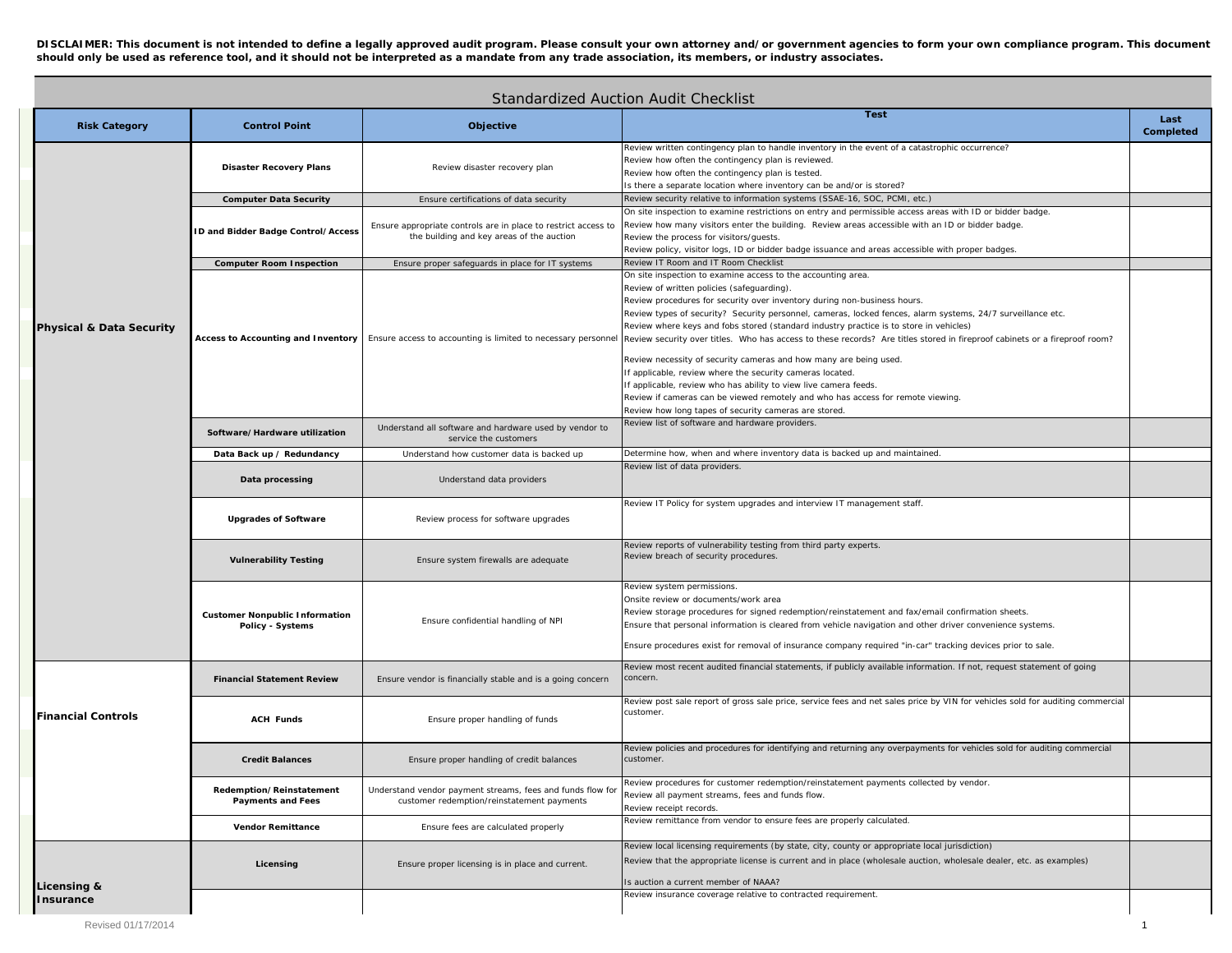**DISCLAIMER: This document is not intended to define a legally approved audit program. Please consult your own attorney and/or government agencies to form your own compliance program. This document should only be used as reference tool, and it should not be interpreted as a mandate from any trade association, its members, or industry associates.** 

| Standardized Auction Audit Checklist |                                                           |                                                                                                             |                                                                                                                                                                                                                                                                                                                                                                                                                                                                                                                                                                                                                                                                                                                                                                                                                                                                                                                                               |                   |  |  |  |
|--------------------------------------|-----------------------------------------------------------|-------------------------------------------------------------------------------------------------------------|-----------------------------------------------------------------------------------------------------------------------------------------------------------------------------------------------------------------------------------------------------------------------------------------------------------------------------------------------------------------------------------------------------------------------------------------------------------------------------------------------------------------------------------------------------------------------------------------------------------------------------------------------------------------------------------------------------------------------------------------------------------------------------------------------------------------------------------------------------------------------------------------------------------------------------------------------|-------------------|--|--|--|
| <b>Risk Category</b>                 | <b>Control Point</b>                                      | Objective                                                                                                   | <b>Test</b>                                                                                                                                                                                                                                                                                                                                                                                                                                                                                                                                                                                                                                                                                                                                                                                                                                                                                                                                   | Last<br>Completed |  |  |  |
| <b>Physical &amp; Data Security</b>  | <b>Disaster Recovery Plans</b>                            | Review disaster recovery plan                                                                               | Review written contingency plan to handle inventory in the event of a catastrophic occurrence?<br>Review how often the contingency plan is reviewed<br>Review how often the contingency plan is tested.<br>Is there a separate location where inventory can be and/or is stored?                                                                                                                                                                                                                                                                                                                                                                                                                                                                                                                                                                                                                                                              |                   |  |  |  |
|                                      | <b>Computer Data Security</b>                             | Ensure certifications of data security                                                                      | Review security relative to information systems (SSAE-16, SOC, PCMI, etc.)                                                                                                                                                                                                                                                                                                                                                                                                                                                                                                                                                                                                                                                                                                                                                                                                                                                                    |                   |  |  |  |
|                                      | ID and Bidder Badge Control/Access                        | Ensure appropriate controls are in place to restrict access to<br>the building and key areas of the auction | On site inspection to examine restrictions on entry and permissible access areas with ID or bidder badge.<br>Review how many visitors enter the building. Review areas accessible with an ID or bidder badge.<br>Review the process for visitors/guests.<br>Review policy, visitor logs, ID or bidder badge issuance and areas accessible with proper badges.                                                                                                                                                                                                                                                                                                                                                                                                                                                                                                                                                                                 |                   |  |  |  |
|                                      | <b>Computer Room Inspection</b>                           | Ensure proper safeguards in place for IT systems                                                            | Review IT Room and IT Room Checklist                                                                                                                                                                                                                                                                                                                                                                                                                                                                                                                                                                                                                                                                                                                                                                                                                                                                                                          |                   |  |  |  |
|                                      | Access to Accounting and Inventory                        |                                                                                                             | On site inspection to examine access to the accounting area.<br>Review of written policies (safeguarding).<br>Review procedures for security over inventory during non-business hours.<br>Review types of security? Security personnel, cameras, locked fences, alarm systems, 24/7 surveillance etc.<br>Review where keys and fobs stored (standard industry practice is to store in vehicles)<br>Ensure access to accounting is limited to necessary personnel Review security over titles. Who has access to these records? Are titles stored in fireproof cabinets or a fireproof room?<br>Review necessity of security cameras and how many are being used.<br>If applicable, review where the security cameras located.<br>If applicable, review who has ability to view live camera feeds.<br>Review if cameras can be viewed remotely and who has access for remote viewing.<br>Review how long tapes of security cameras are stored. |                   |  |  |  |
|                                      | Software/Hardware utilization                             | Understand all software and hardware used by vendor to<br>service the customers                             | Review list of software and hardware providers                                                                                                                                                                                                                                                                                                                                                                                                                                                                                                                                                                                                                                                                                                                                                                                                                                                                                                |                   |  |  |  |
|                                      | Data Back up / Redundancy                                 | Understand how customer data is backed up                                                                   | Determine how, when and where inventory data is backed up and maintained.                                                                                                                                                                                                                                                                                                                                                                                                                                                                                                                                                                                                                                                                                                                                                                                                                                                                     |                   |  |  |  |
|                                      | Data processing                                           | Understand data providers                                                                                   | Review list of data providers.                                                                                                                                                                                                                                                                                                                                                                                                                                                                                                                                                                                                                                                                                                                                                                                                                                                                                                                |                   |  |  |  |
|                                      | <b>Upgrades of Software</b>                               | Review process for software upgrades                                                                        | Review IT Policy for system upgrades and interview IT management staff.                                                                                                                                                                                                                                                                                                                                                                                                                                                                                                                                                                                                                                                                                                                                                                                                                                                                       |                   |  |  |  |
|                                      | <b>Vulnerability Testing</b>                              | Ensure system firewalls are adequate                                                                        | Review reports of vulnerability testing from third party experts.<br>Review breach of security procedures.                                                                                                                                                                                                                                                                                                                                                                                                                                                                                                                                                                                                                                                                                                                                                                                                                                    |                   |  |  |  |
|                                      | <b>Customer Nonpublic Information</b><br>Policy - Systems | Ensure confidential handling of NPI                                                                         | Review system permissions<br>Onsite review or documents/work area<br>Review storage procedures for signed redemption/reinstatement and fax/email confirmation sheets.<br>Ensure that personal information is cleared from vehicle navigation and other driver convenience systems.<br>Ensure procedures exist for removal of insurance company required "in-car" tracking devices prior to sale.                                                                                                                                                                                                                                                                                                                                                                                                                                                                                                                                              |                   |  |  |  |
| <b>Financial Controls</b>            | <b>Financial Statement Review</b>                         | Ensure vendor is financially stable and is a going concern                                                  | Review most recent audited financial statements, if publicly available information. If not, request statement of going<br>concern.                                                                                                                                                                                                                                                                                                                                                                                                                                                                                                                                                                                                                                                                                                                                                                                                            |                   |  |  |  |
|                                      | <b>ACH Funds</b>                                          | Ensure proper handling of funds                                                                             | Review post sale report of gross sale price, service fees and net sales price by VIN for vehicles sold for auditing commercial<br>customer                                                                                                                                                                                                                                                                                                                                                                                                                                                                                                                                                                                                                                                                                                                                                                                                    |                   |  |  |  |
|                                      | <b>Credit Balances</b>                                    | Ensure proper handling of credit balances                                                                   | Review policies and procedures for identifying and returning any overpayments for vehicles sold for auditing commercial<br>customer.                                                                                                                                                                                                                                                                                                                                                                                                                                                                                                                                                                                                                                                                                                                                                                                                          |                   |  |  |  |
|                                      | Redemption/Reinstatement<br><b>Payments and Fees</b>      | Understand vendor payment streams, fees and funds flow for<br>customer redemption/reinstatement payments    | Review procedures for customer redemption/reinstatement payments collected by vendor.<br>Review all payment streams, fees and funds flow.<br>Review receipt records.                                                                                                                                                                                                                                                                                                                                                                                                                                                                                                                                                                                                                                                                                                                                                                          |                   |  |  |  |
|                                      | <b>Vendor Remittance</b>                                  | Ensure fees are calculated properly                                                                         | Review remittance from vendor to ensure fees are properly calculated.                                                                                                                                                                                                                                                                                                                                                                                                                                                                                                                                                                                                                                                                                                                                                                                                                                                                         |                   |  |  |  |
| Licensing &                          | Licensing                                                 | Ensure proper licensing is in place and current.                                                            | Review local licensing requirements (by state, city, county or appropriate local jurisdiction)<br>Review that the appropriate license is current and in place (wholesale auction, wholesale dealer, etc. as examples)<br>Is auction a current member of NAAA?<br>Review insurance coverage relative to contracted requirement.                                                                                                                                                                                                                                                                                                                                                                                                                                                                                                                                                                                                                |                   |  |  |  |
| Insurance                            |                                                           |                                                                                                             |                                                                                                                                                                                                                                                                                                                                                                                                                                                                                                                                                                                                                                                                                                                                                                                                                                                                                                                                               |                   |  |  |  |